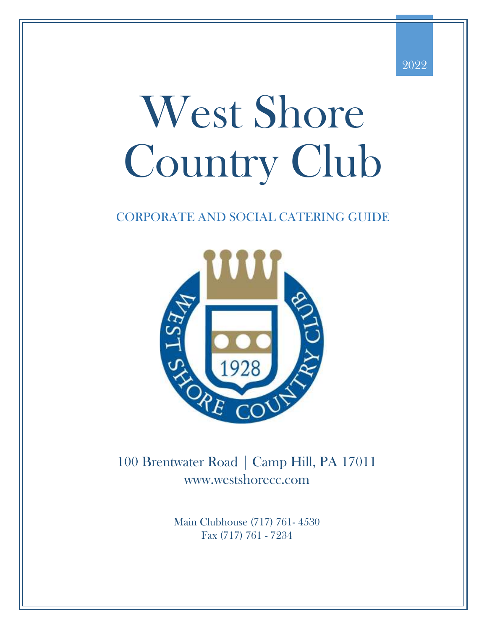

# West Shore Country Club

### CORPORATE AND SOCIAL CATERING GUIDE



100 Brentwater Road | Camp Hill, PA 17011 www.westshorecc.com

> Main Clubhouse (717) 761- 4530 Fax (717) 761 - 7234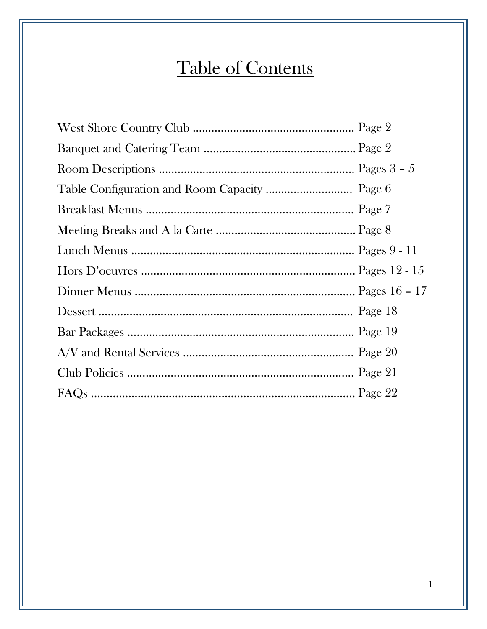# Table of Contents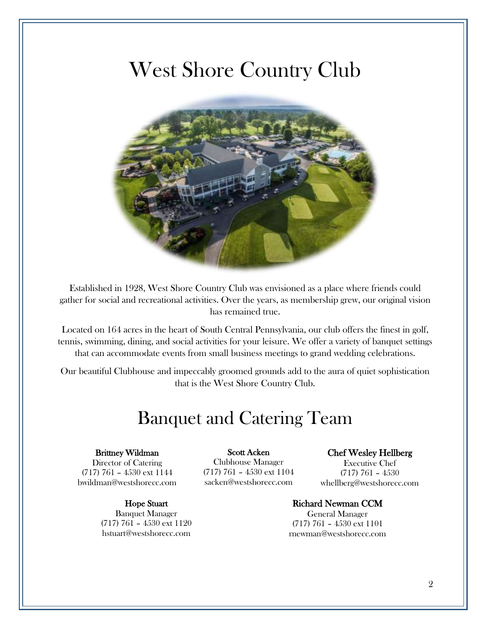### West Shore Country Club



Established in 1928, West Shore Country Club was envisioned as a place where friends could gather for social and recreational activities. Over the years, as membership grew, our original vision has remained true.

Located on 164 acres in the heart of South Central Pennsylvania, our club offers the finest in golf, tennis, swimming, dining, and social activities for your leisure. We offer a variety of banquet settings that can accommodate events from small business meetings to grand wedding celebrations.

Our beautiful Clubhouse and impeccably groomed grounds add to the aura of quiet sophistication that is the West Shore Country Club.

### Banquet and Catering Team

#### Brittney Wildman

Director of Catering (717) 761 – 4530 ext 1144 bwildman@westshorecc.com

> Hope Stuart Banquet Manager

(717) 761 – 4530 ext 1120 hstuart@westshorecc.com

#### Scott Acken

Clubhouse Manager (717) 761 – 4530 ext 1104 sacken@westshorecc.com

#### Chef Wesley Hellberg

Executive Chef (717) 761 – 4530 whellberg@westshorecc.com

#### Richard Newman CCM

General Manager (717) 761 – 4530 ext 1101 rnewman@westshorecc.com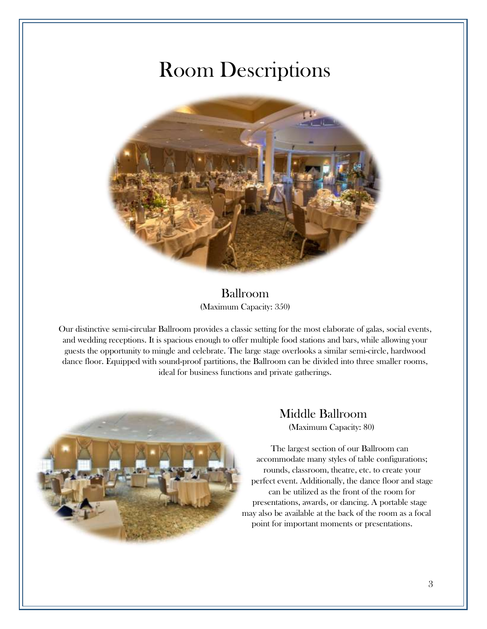### Room Descriptions



#### Ballroom (Maximum Capacity: 350)

Our distinctive semi-circular Ballroom provides a classic setting for the most elaborate of galas, social events, and wedding receptions. It is spacious enough to offer multiple food stations and bars, while allowing your guests the opportunity to mingle and celebrate. The large stage overlooks a similar semi-circle, hardwood dance floor. Equipped with sound-proof partitions, the Ballroom can be divided into three smaller rooms, ideal for business functions and private gatherings.



### Middle Ballroom (Maximum Capacity: 80)

The largest section of our Ballroom can accommodate many styles of table configurations; rounds, classroom, theatre, etc. to create your perfect event. Additionally, the dance floor and stage can be utilized as the front of the room for presentations, awards, or dancing. A portable stage may also be available at the back of the room as a focal point for important moments or presentations.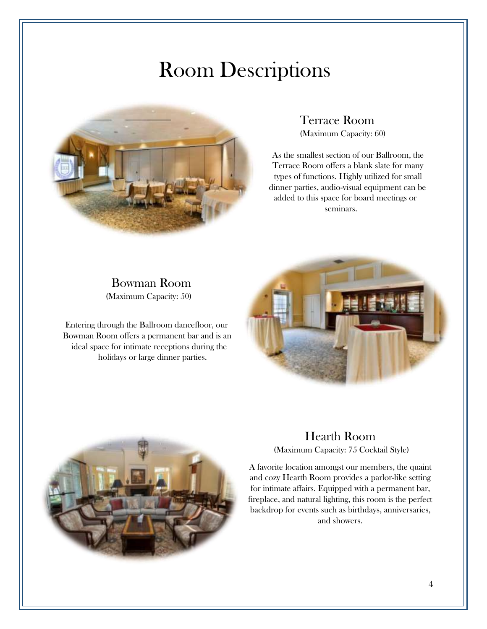### Room Descriptions



Bowman Room (Maximum Capacity: 50)

Entering through the Ballroom dancefloor, our Bowman Room offers a permanent bar and is an ideal space for intimate receptions during the holidays or large dinner parties.

Terrace Room (Maximum Capacity: 60)

As the smallest section of our Ballroom, the Terrace Room offers a blank slate for many types of functions. Highly utilized for small dinner parties, audio-visual equipment can be added to this space for board meetings or seminars.





#### Hearth Room (Maximum Capacity: 75 Cocktail Style)

A favorite location amongst our members, the quaint and cozy Hearth Room provides a parlor-like setting for intimate affairs. Equipped with a permanent bar, fireplace, and natural lighting, this room is the perfect backdrop for events such as birthdays, anniversaries, and showers.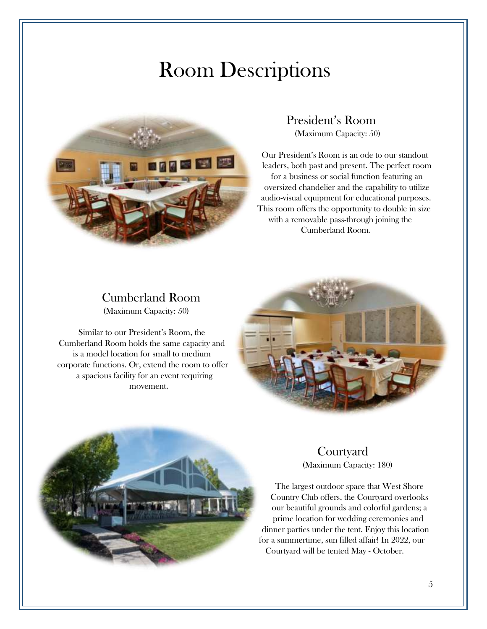### Room Descriptions



President's Room (Maximum Capacity: 50)

Our President's Room is an ode to our standout leaders, both past and present. The perfect room for a business or social function featuring an oversized chandelier and the capability to utilize audio-visual equipment for educational purposes. This room offers the opportunity to double in size with a removable pass-through joining the Cumberland Room.

#### Cumberland Room (Maximum Capacity: 50)

Similar to our President's Room, the Cumberland Room holds the same capacity and is a model location for small to medium corporate functions. Or, extend the room to offer a spacious facility for an event requiring movement.





#### **Courtyard** (Maximum Capacity: 180)

The largest outdoor space that West Shore Country Club offers, the Courtyard overlooks our beautiful grounds and colorful gardens; a prime location for wedding ceremonies and dinner parties under the tent. Enjoy this location for a summertime, sun filled affair! In 2022, our Courtyard will be tented May - October.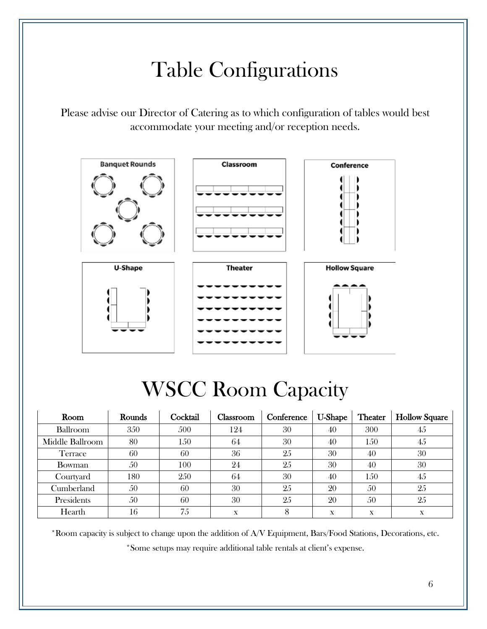# Table Configurations

Please advise our Director of Catering as to which configuration of tables would best accommodate your meeting and/or reception needs.



# WSCC Room Capacity

| Room            | Rounds | Cocktail | Classroom | Conference | <b>U-Shape</b> | <b>Theater</b> | <b>Hollow Square</b> |
|-----------------|--------|----------|-----------|------------|----------------|----------------|----------------------|
| Ballroom        | 350    | 500      | 124       | 30         | 40             | 300            | 45                   |
| Middle Ballroom | 80     | 150      | 64        | 30         | 40             | 150            | 45                   |
| Terrace         | 60     | 60       | 36        | 25         | 30             | 40             | 30                   |
| Bowman          | 50     | 100      | 24        | 25         | 30             | 40             | 30                   |
| Courtyard       | 180    | 250      | 64        | 30         | 40             | 150            | 45                   |
| Cumberland      | 50     | 60       | 30        | 25         | 20             | 50             | 25                   |
| Presidents      | 50     | 60       | 30        | 25         | 20             | 50             | 25                   |
| Hearth          | 16     | 75       | X         |            | X              | X              | X                    |

\*Room capacity is subject to change upon the addition of A/V Equipment, Bars/Food Stations, Decorations, etc. \*Some setups may require additional table rentals at client's expense.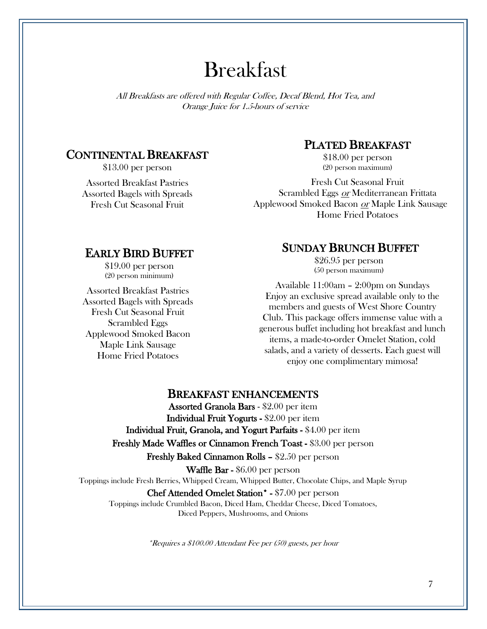### Breakfast

All Breakfasts are offered with Regular Coffee, Decaf Blend, Hot Tea, and Orange Juice for 1.5-hours of service

#### CONTINENTAL BREAKFAST

\$13.00 per person

Assorted Breakfast Pastries Assorted Bagels with Spreads Fresh Cut Seasonal Fruit

#### PLATED BREAKFAST

\$18.00 per person (20 person maximum)

Fresh Cut Seasonal Fruit Scrambled Eggs or Mediterranean Frittata Applewood Smoked Bacon or Maple Link Sausage Home Fried Potatoes

#### EARLY BIRD BUFFET

\$19.00 per person (20 person minimum)

Assorted Breakfast Pastries Assorted Bagels with Spreads Fresh Cut Seasonal Fruit Scrambled Eggs Applewood Smoked Bacon Maple Link Sausage Home Fried Potatoes

#### SUNDAY BRUNCH BUFFET

\$26.95 per person (50 person maximum)

Available 11:00am – 2:00pm on Sundays Enjoy an exclusive spread available only to the members and guests of West Shore Country Club. This package offers immense value with a generous buffet including hot breakfast and lunch items, a made-to-order Omelet Station, cold salads, and a variety of desserts. Each guest will enjoy one complimentary mimosa!

#### BREAKFAST ENHANCEMENTS

Assorted Granola Bars - \$2.00 per item Individual Fruit Yogurts - \$2.00 per item Individual Fruit, Granola, and Yogurt Parfaits - \$4.00 per item Freshly Made Waffles or Cinnamon French Toast - \$3.00 per person Freshly Baked Cinnamon Rolls – \$2.50 per person Waffle Bar - \$6.00 per person Toppings include Fresh Berries, Whipped Cream, Whipped Butter, Chocolate Chips, and Maple Syrup Chef Attended Omelet Station\* - \$7.00 per person Toppings include Crumbled Bacon, Diced Ham, Cheddar Cheese, Diced Tomatoes,

Diced Peppers, Mushrooms, and Onions

\*Requires a \$100.00 Attendant Fee per (50) guests, per hour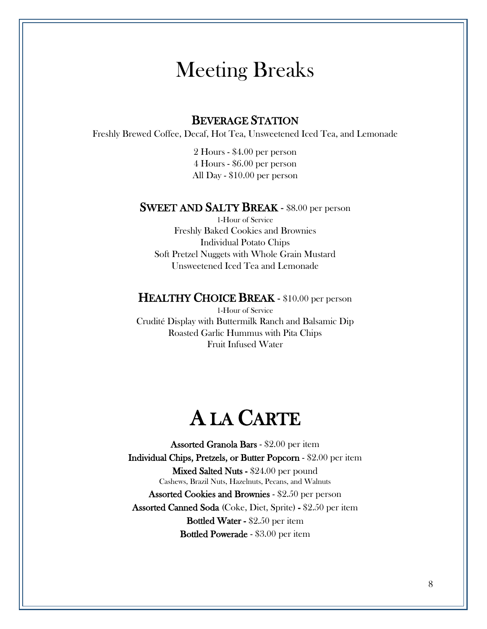### Meeting Breaks

#### BEVERAGE STATION

Freshly Brewed Coffee, Decaf, Hot Tea, Unsweetened Iced Tea, and Lemonade

2 Hours - \$4.00 per person 4 Hours - \$6.00 per person All Day - \$10.00 per person

#### SWEET AND SALTY BREAK - \$8.00 per person

1-Hour of Service Freshly Baked Cookies and Brownies Individual Potato Chips Soft Pretzel Nuggets with Whole Grain Mustard Unsweetened Iced Tea and Lemonade

#### HEALTHY CHOICE BREAK - \$10.00 per person

1-Hour of Service Crudité Display with Buttermilk Ranch and Balsamic Dip Roasted Garlic Hummus with Pita Chips Fruit Infused Water

### A LA CARTE

Assorted Granola Bars - \$2.00 per item Individual Chips, Pretzels, or Butter Popcorn - \$2.00 per item Mixed Salted Nuts - \$24.00 per pound Cashews, Brazil Nuts, Hazelnuts, Pecans, and Walnuts Assorted Cookies and Brownies - \$2.50 per person Assorted Canned Soda (Coke, Diet, Sprite) - \$2.50 per item Bottled Water - \$2.50 per item Bottled Powerade - \$3.00 per item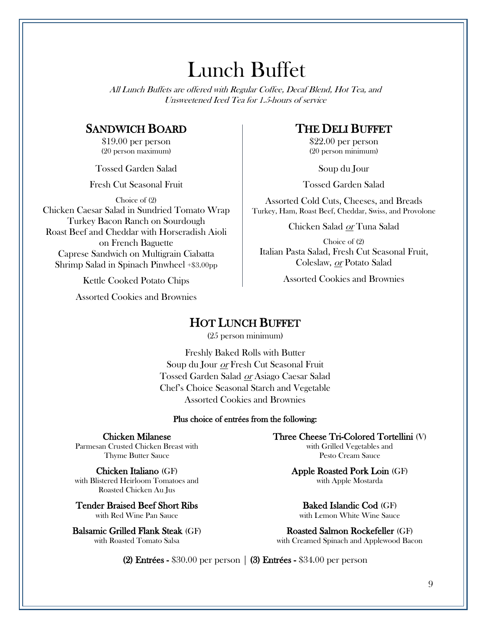### Lunch Buffet

All Lunch Buffets are offered with Regular Coffee, Decaf Blend, Hot Tea, and Unsweetened Iced Tea for 1.5-hours of service

#### SANDWICH BOARD

\$19.00 per person (20 person maximum)

Tossed Garden Salad

Fresh Cut Seasonal Fruit

Choice of (2)

Chicken Caesar Salad in Sundried Tomato Wrap Turkey Bacon Ranch on Sourdough Roast Beef and Cheddar with Horseradish Aioli on French Baguette Caprese Sandwich on Multigrain Ciabatta Shrimp Salad in Spinach Pinwheel +\$3.00pp

Kettle Cooked Potato Chips

Assorted Cookies and Brownies

#### THE DELI BUFFET

\$22.00 per person (20 person minimum)

Soup du Jour

Tossed Garden Salad

Assorted Cold Cuts, Cheeses, and Breads Turkey, Ham, Roast Beef, Cheddar, Swiss, and Provolone

Chicken Salad or Tuna Salad

Choice of (2) Italian Pasta Salad, Fresh Cut Seasonal Fruit, Coleslaw, or Potato Salad

Assorted Cookies and Brownies

#### HOT LUNCH BUFFET

(25 person minimum)

Freshly Baked Rolls with Butter Soup du Jour or Fresh Cut Seasonal Fruit Tossed Garden Salad or Asiago Caesar Salad Chef's Choice Seasonal Starch and Vegetable Assorted Cookies and Brownies

#### Plus choice of entrées from the following:

Chicken Milanese

Parmesan Crusted Chicken Breast with Thyme Butter Sauce

Chicken Italiano (GF) with Blistered Heirloom Tomatoes and Roasted Chicken Au Jus

Tender Braised Beef Short Ribs with Red Wine Pan Sauce

Balsamic Grilled Flank Steak (GF) with Roasted Tomato Salsa

Three Cheese Tri-Colored Tortellini (V) with Grilled Vegetables and Pesto Cream Sauce

> Apple Roasted Pork Loin (GF) with Apple Mostarda

Baked Islandic Cod (GF) with Lemon White Wine Sauce

Roasted Salmon Rockefeller (GF) with Creamed Spinach and Applewood Bacon

(2) Entrées -  $$30.00$  per person  $\vert$  (3) Entrées -  $$34.00$  per person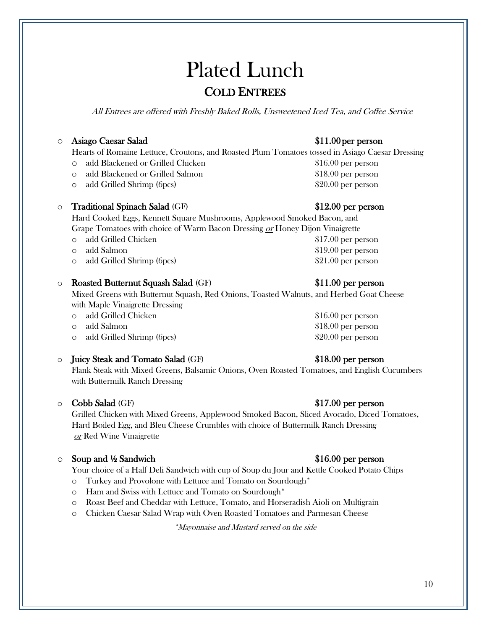### Plated Lunch COLD ENTREES

All Entrees are offered with Freshly Baked Rolls, Unsweetened Iced Tea, and Coffee Service

#### $\circ$  Asiago Caesar Salad

Hearts of Romaine Lettuce, Croutons, and Roasted Plum Tomatoes tossed in Asiago Caesar Dressing

- o add Blackened or Grilled Chicken \$16.00 per person
- o add Blackened or Grilled Salmon \$18.00 per person
- o add Grilled Shrimp (6pcs) \$20.00 per person

#### Traditional Spinach Salad (GF)  $$12.00$  per person

Hard Cooked Eggs, Kennett Square Mushrooms, Applewood Smoked Bacon, and Grape Tomatoes with choice of Warm Bacon Dressing or Honey Dijon Vinaigrette

- o add Grilled Chicken \$17.00 per person
- o add Salmon  $$19.00$  per person
- o add Grilled Shrimp (6pcs) \$21.00 per person

#### o Roasted Butternut Squash Salad (GF) \$11.00 per person

Mixed Greens with Butternut Squash, Red Onions, Toasted Walnuts, and Herbed Goat Cheese with Maple Vinaigrette Dressing

- o add Grilled Chicken \$16.00 per person
- 
- o add Grilled Shrimp (6pcs) \$20.00 per person

#### o Juicy Steak and Tomato Salad (GF) \$18.00 per person

Flank Steak with Mixed Greens, Balsamic Onions, Oven Roasted Tomatoes, and English Cucumbers with Buttermilk Ranch Dressing

#### ○ Cobb Salad (GF) \$17.00 per person

Grilled Chicken with Mixed Greens, Applewood Smoked Bacon, Sliced Avocado, Diced Tomatoes, Hard Boiled Egg, and Bleu Cheese Crumbles with choice of Buttermilk Ranch Dressing or Red Wine Vinaigrette

#### o Soup and ½ Sandwich \$16.00 per person

Your choice of a Half Deli Sandwich with cup of Soup du Jour and Kettle Cooked Potato Chips

- o Turkey and Provolone with Lettuce and Tomato on Sourdough\*
- o Ham and Swiss with Lettuce and Tomato on Sourdough\*
- o Roast Beef and Cheddar with Lettuce, Tomato, and Horseradish Aioli on Multigrain
- o Chicken Caesar Salad Wrap with Oven Roasted Tomatoes and Parmesan Cheese

\*Mayonnaise and Mustard served on the side

#### $$11.00$  per person

o add Salmon \$18.00 per person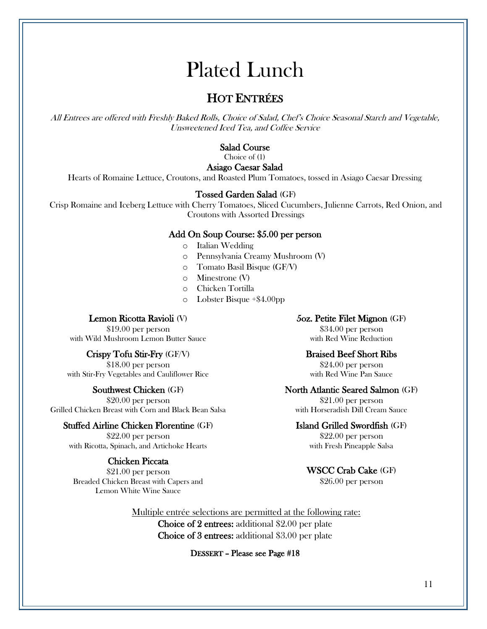### Plated Lunch

### HOT ENTRÉES

All Entrees are offered with Freshly Baked Rolls, Choice of Salad, Chef's Choice Seasonal Starch and Vegetable, Unsweetened Iced Tea, and Coffee Service

#### Salad Course

Choice of (1)

#### Asiago Caesar Salad

Hearts of Romaine Lettuce, Croutons, and Roasted Plum Tomatoes, tossed in Asiago Caesar Dressing

#### Tossed Garden Salad (GF)

Crisp Romaine and Iceberg Lettuce with Cherry Tomatoes, Sliced Cucumbers, Julienne Carrots, Red Onion, and Croutons with Assorted Dressings

#### Add On Soup Course: \$5.00 per person

- o Italian Wedding
- o Pennsylvania Creamy Mushroom (V)
- o Tomato Basil Bisque (GF/V)
- o Minestrone (V)
- o Chicken Tortilla
- o Lobster Bisque +\$4.00pp

#### Lemon Ricotta Ravioli (V)

\$19.00 per person with Wild Mushroom Lemon Butter Sauce

#### Crispy Tofu Stir-Fry (GF/V)

\$18.00 per person with Stir-Fry Vegetables and Cauliflower Rice

#### Southwest Chicken (GF)

\$20.00 per person Grilled Chicken Breast with Corn and Black Bean Salsa

#### Stuffed Airline Chicken Florentine (GF)

\$22.00 per person with Ricotta, Spinach, and Artichoke Hearts

#### Chicken Piccata

\$21.00 per person Breaded Chicken Breast with Capers and Lemon White Wine Sauce

#### 5oz. Petite Filet Mignon (GF)

\$34.00 per person with Red Wine Reduction

#### Braised Beef Short Ribs

\$24.00 per person with Red Wine Pan Sauce

#### North Atlantic Seared Salmon (GF)

\$21.00 per person with Horseradish Dill Cream Sauce

#### Island Grilled Swordfish (GF)

\$22.00 per person with Fresh Pineapple Salsa

#### WSCC Crab Cake (GF)

\$26.00 per person

 Multiple entrée selections are permitted at the following rate: Choice of 2 entrees: additional \$2.00 per plate Choice of 3 entrees: additional \$3.00 per plate

#### DESSERT – Please see Page #18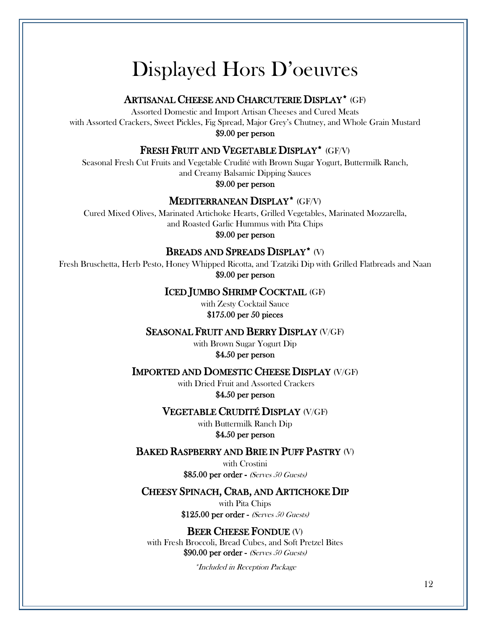### Displayed Hors D'oeuvres

#### ARTISANAL CHEESE AND CHARCUTERIE DISPLAY\* (GF)

Assorted Domestic and Import Artisan Cheeses and Cured Meats with Assorted Crackers, Sweet Pickles, Fig Spread, Major Grey's Chutney, and Whole Grain Mustard \$9.00 per person

#### FRESH FRUIT AND VEGETABLE DISPLAY\* (GF/V)

Seasonal Fresh Cut Fruits and Vegetable Crudité with Brown Sugar Yogurt, Buttermilk Ranch, and Creamy Balsamic Dipping Sauces

\$9.00 per person

#### MEDITERRANEAN DISPLAY\* (GF/V)

Cured Mixed Olives, Marinated Artichoke Hearts, Grilled Vegetables, Marinated Mozzarella, and Roasted Garlic Hummus with Pita Chips

\$9.00 per person

#### BREADS AND SPREADS DISPLAY\* (V)

Fresh Bruschetta, Herb Pesto, Honey Whipped Ricotta, and Tzatziki Dip with Grilled Flatbreads and Naan \$9.00 per person

#### ICED JUMBO SHRIMP COCKTAIL (GF)

with Zesty Cocktail Sauce \$175.00 per 50 pieces

#### SEASONAL FRUIT AND BERRY DISPLAY (V/GF)

with Brown Sugar Yogurt Dip \$4.50 per person

#### IMPORTED AND DOMESTIC CHEESE DISPLAY (V/GF)

with Dried Fruit and Assorted Crackers \$4.50 per person

#### VEGETABLE CRUDITÉ DISPLAY (V/GF)

with Buttermilk Ranch Dip \$4.50 per person

#### BAKED RASPBERRY AND BRIE IN PUFF PASTRY (V)

with Crostini \$85.00 per order - (Serves 50 Guests)

#### CHEESY SPINACH, CRAB, AND ARTICHOKE DIP

with Pita Chips \$125.00 per order - (Serves 50 Guests)

#### BEER CHEESE FONDUE (V)

with Fresh Broccoli, Bread Cubes, and Soft Pretzel Bites \$90.00 per order - (Serves 50 Guests)

\*Included in Reception Package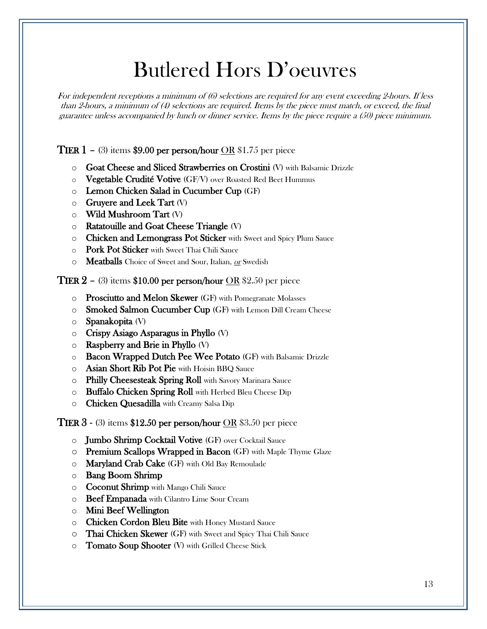### Butlered Hors D'oeuvres

For independent receptions a minimum of (6) selections are required for any event exceeding 2-hours. If less than 2-hours, a minimum of (4) selections are required. Items by the piece must match, or exceed, the final guarantee unless accompanied by lunch or dinner service. Items by the piece require a (50) piece minimum.

**TIER 1** – (3) items \$9.00 per person/hour OR \$1.75 per piece

- o Goat Cheese and Sliced Strawberries on Crostini (V) with Balsamic Drizzle
- $\circ$  Vegetable Crudité Votive (GF/V) over Roasted Red Beet Hummus
- o Lemon Chicken Salad in Cucumber Cup (GF)
- $\circ$  Gruyere and Leek Tart (V)
- o Wild Mushroom Tart (V)
- o Ratatouille and Goat Cheese Triangle (V)
- o Chicken and Lemongrass Pot Sticker with Sweet and Spicy Plum Sauce
- o Pork Pot Sticker with Sweet Thai Chili Sauce
- o Meatballs Choice of Sweet and Sour, Italian, or Swedish

**TIER 2** – (3) items \$10.00 per person/hour OR \$2.50 per piece

- o Prosciutto and Melon Skewer (GF) with Pomegranate Molasses
- o Smoked Salmon Cucumber Cup (GF) with Lemon Dill Cream Cheese
- o Spanakopita (V)
- $\circ$  Crispy Asiago Asparagus in Phyllo (V)
- $\circ$  Raspberry and Brie in Phyllo (V)
- o Bacon Wrapped Dutch Pee Wee Potato (GF) with Balsamic Drizzle
- o Asian Short Rib Pot Pie with Hoisin BBQ Sauce
- o Philly Cheesesteak Spring Roll with Savory Marinara Sauce
- o Buffalo Chicken Spring Roll with Herbed Bleu Cheese Dip
- o Chicken Quesadilla with Creamy Salsa Dip

**TIER 3 - (3) items \$12.50 per person/hour OR \$3.50 per piece** 

- o Jumbo Shrimp Cocktail Votive (GF) over Cocktail Sauce
- o Premium Scallops Wrapped in Bacon (GF) with Maple Thyme Glaze
- $\circ$  Maryland Crab Cake (GF) with Old Bay Remoulade
- o Bang Boom Shrimp
- o Coconut Shrimp with Mango Chili Sauce
- o Beef Empanada with Cilantro Lime Sour Cream
- o Mini Beef Wellington
- o Chicken Cordon Bleu Bite with Honey Mustard Sauce
- o Thai Chicken Skewer (GF) with Sweet and Spicy Thai Chili Sauce
- o Tomato Soup Shooter (V) with Grilled Cheese Stick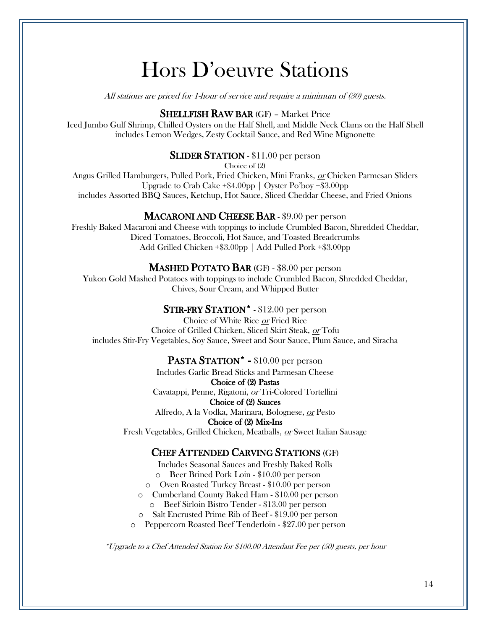### Hors D'oeuvre Stations

All stations are priced for 1-hour of service and require a minimum of (30) guests.

#### SHELLFISH RAW BAR (GF) – Market Price

Iced Jumbo Gulf Shrimp, Chilled Oysters on the Half Shell, and Middle Neck Clams on the Half Shell includes Lemon Wedges, Zesty Cocktail Sauce, and Red Wine Mignonette

#### **SLIDER STATION** - \$11.00 per person

Choice of (2)

Angus Grilled Hamburgers, Pulled Pork, Fried Chicken, Mini Franks, or Chicken Parmesan Sliders Upgrade to Crab Cake +\$4.00pp | Oyster Po'boy +\$3.00pp includes Assorted BBQ Sauces, Ketchup, Hot Sauce, Sliced Cheddar Cheese, and Fried Onions

#### MACARONI AND CHEESE BAR - \$9.00 per person

Freshly Baked Macaroni and Cheese with toppings to include Crumbled Bacon, Shredded Cheddar, Diced Tomatoes, Broccoli, Hot Sauce, and Toasted Breadcrumbs Add Grilled Chicken +\$3.00pp | Add Pulled Pork +\$3.00pp

#### MASHED POTATO BAR (GF) - \$8.00 per person

Yukon Gold Mashed Potatoes with toppings to include Crumbled Bacon, Shredded Cheddar, Chives, Sour Cream, and Whipped Butter

#### STIR-FRY STATION\* - \$12.00 per person

Choice of White Rice or Fried Rice Choice of Grilled Chicken, Sliced Skirt Steak, or Tofu includes Stir-Fry Vegetables, Soy Sauce, Sweet and Sour Sauce, Plum Sauce, and Siracha

#### PASTA STATION<sup>\*</sup> - \$10.00 per person

Includes Garlic Bread Sticks and Parmesan Cheese Choice of (2) Pastas Cavatappi, Penne, Rigatoni, or Tri-Colored Tortellini

Choice of (2) Sauces

Alfredo, A la Vodka, Marinara, Bolognese, or Pesto Choice of (2) Mix-Ins

Fresh Vegetables, Grilled Chicken, Meatballs, or Sweet Italian Sausage

#### CHEF ATTENDED CARVING STATIONS (GF)

Includes Seasonal Sauces and Freshly Baked Rolls

- o Beer Brined Pork Loin \$10.00 per person
- o Oven Roasted Turkey Breast \$10.00 per person
- o Cumberland County Baked Ham \$10.00 per person
	- o Beef Sirloin Bistro Tender \$13.00 per person
- o Salt Encrusted Prime Rib of Beef \$19.00 per person
- o Peppercorn Roasted Beef Tenderloin \$27.00 per person

\*Upgrade to a Chef Attended Station for \$100.00 Attendant Fee per (50) guests, per hour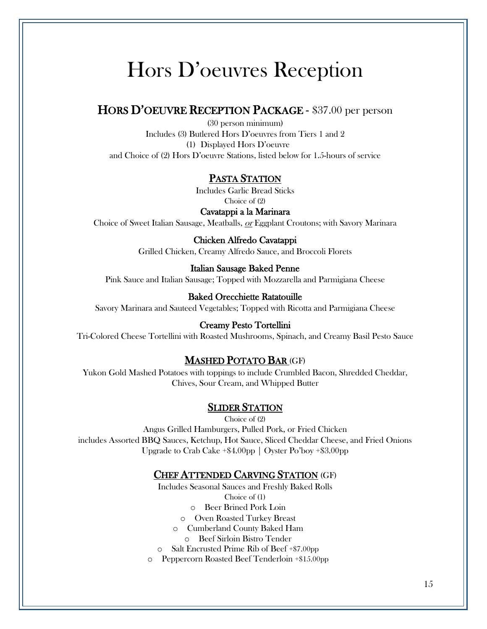### Hors D'oeuvres Reception

#### HORS D'OEUVRE RECEPTION PACKAGE - \$37.00 per person

(30 person minimum) Includes (3) Butlered Hors D'oeuvres from Tiers 1 and 2 (1) Displayed Hors D'oeuvre and Choice of (2) Hors D'oeuvre Stations, listed below for 1.5-hours of service

#### PASTA STATION

Includes Garlic Bread Sticks Choice of (2)

Cavatappi a la Marinara Choice of Sweet Italian Sausage, Meatballs, or Eggplant Croutons; with Savory Marinara

> Chicken Alfredo Cavatappi Grilled Chicken, Creamy Alfredo Sauce, and Broccoli Florets

#### Italian Sausage Baked Penne

Pink Sauce and Italian Sausage; Topped with Mozzarella and Parmigiana Cheese

#### Baked Orecchiette Ratatouille

Savory Marinara and Sauteed Vegetables; Topped with Ricotta and Parmigiana Cheese

#### Creamy Pesto Tortellini

Tri-Colored Cheese Tortellini with Roasted Mushrooms, Spinach, and Creamy Basil Pesto Sauce

#### MASHED POTATO BAR (GF)

Yukon Gold Mashed Potatoes with toppings to include Crumbled Bacon, Shredded Cheddar, Chives, Sour Cream, and Whipped Butter

#### SLIDER STATION

Choice of (2) Angus Grilled Hamburgers, Pulled Pork, or Fried Chicken includes Assorted BBQ Sauces, Ketchup, Hot Sauce, Sliced Cheddar Cheese, and Fried Onions Upgrade to Crab Cake +\$4.00pp | Oyster Po'boy +\$3.00pp

#### CHEF ATTENDED CARVING STATION (GF)

Includes Seasonal Sauces and Freshly Baked Rolls

Choice of (1)

o Beer Brined Pork Loin

o Oven Roasted Turkey Breast

- o Cumberland County Baked Ham
	- o Beef Sirloin Bistro Tender
- o Salt Encrusted Prime Rib of Beef +\$7.00pp
- o Peppercorn Roasted Beef Tenderloin +\$15.00pp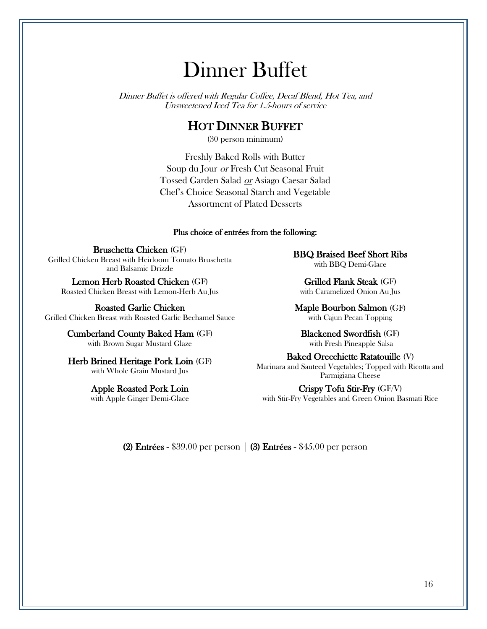### Dinner Buffet

Dinner Buffet is offered with Regular Coffee, Decaf Blend, Hot Tea, and Unsweetened Iced Tea for 1.5-hours of service

#### HOT DINNER BUFFET

(30 person minimum)

Freshly Baked Rolls with Butter Soup du Jour or Fresh Cut Seasonal Fruit Tossed Garden Salad or Asiago Caesar Salad Chef's Choice Seasonal Starch and Vegetable Assortment of Plated Desserts

#### Plus choice of entrées from the following:

Bruschetta Chicken (GF) Grilled Chicken Breast with Heirloom Tomato Bruschetta and Balsamic Drizzle

Lemon Herb Roasted Chicken (GF) Roasted Chicken Breast with Lemon-Herb Au Jus

Roasted Garlic Chicken Grilled Chicken Breast with Roasted Garlic Bechamel Sauce

> Cumberland County Baked Ham (GF) with Brown Sugar Mustard Glaze

> Herb Brined Heritage Pork Loin (GF) with Whole Grain Mustard Jus

> > Apple Roasted Pork Loin with Apple Ginger Demi-Glace

BBQ Braised Beef Short Ribs with BBQ Demi-Glace

Grilled Flank Steak (GF) with Caramelized Onion Au Jus

Maple Bourbon Salmon (GF) with Cajun Pecan Topping

Blackened Swordfish (GF) with Fresh Pineapple Salsa

Baked Orecchiette Ratatouille (V) Marinara and Sauteed Vegetables; Topped with Ricotta and Parmigiana Cheese

Crispy Tofu Stir-Fry (GF/V) with Stir-Fry Vegetables and Green Onion Basmati Rice

(2) Entrées - \$39.00 per person  $\mid$  (3) Entrées - \$45.00 per person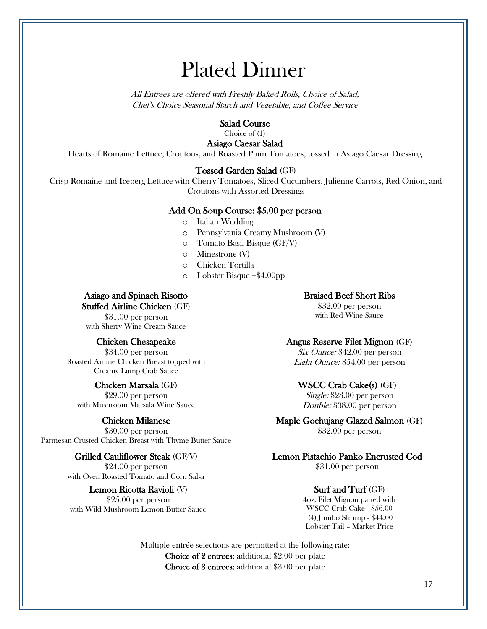### Plated Dinner

All Entrees are offered with Freshly Baked Rolls, Choice of Salad, Chef's Choice Seasonal Starch and Vegetable, and Coffee Service

#### Salad Course

Choice of (1)

Asiago Caesar Salad Hearts of Romaine Lettuce, Croutons, and Roasted Plum Tomatoes, tossed in Asiago Caesar Dressing

#### Tossed Garden Salad (GF)

Crisp Romaine and Iceberg Lettuce with Cherry Tomatoes, Sliced Cucumbers, Julienne Carrots, Red Onion, and Croutons with Assorted Dressings

#### Add On Soup Course: \$5.00 per person

- o Italian Wedding
- o Pennsylvania Creamy Mushroom (V)
- o Tomato Basil Bisque (GF/V)
- o Minestrone (V)
- o Chicken Tortilla
- o Lobster Bisque +\$4.00pp

#### Asiago and Spinach Risotto Stuffed Airline Chicken (GF)

\$31.00 per person with Sherry Wine Cream Sauce

#### Chicken Chesapeake

\$34.00 per person Roasted Airline Chicken Breast topped with Creamy Lump Crab Sauce

#### Chicken Marsala (GF)

\$29.00 per person with Mushroom Marsala Wine Sauce

#### Chicken Milanese

\$30.00 per person Parmesan Crusted Chicken Breast with Thyme Butter Sauce

#### Grilled Cauliflower Steak (GF/V)

\$24.00 per person with Oven Roasted Tomato and Corn Salsa

#### Lemon Ricotta Ravioli (V)

\$25.00 per person with Wild Mushroom Lemon Butter Sauce

#### Braised Beef Short Ribs

\$32.00 per person with Red Wine Sauce

#### Angus Reserve Filet Mignon (GF)

Six Ounce: \$42.00 per person Eight Ounce: \$54.00 per person

#### WSCC Crab Cake(s) (GF)

Single: \$28.00 per person Double: \$38.00 per person

#### Maple Gochujang Glazed Salmon (GF)

\$32.00 per person

#### Lemon Pistachio Panko Encrusted Cod

\$31.00 per person

#### Surf and Turf (GF)

4oz. Filet Mignon paired with WSCC Crab Cake - \$56.00 (4) Jumbo Shrimp - \$44.00 Lobster Tail – Market Price

Multiple entrée selections are permitted at the following rate:

Choice of 2 entrees: additional \$2.00 per plate Choice of 3 entrees: additional \$3.00 per plate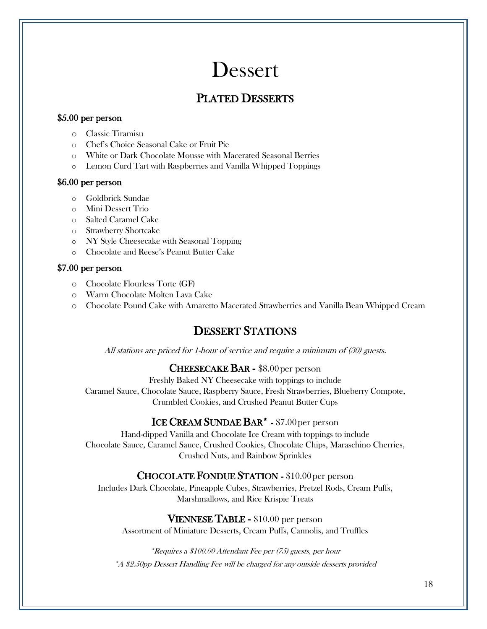### Dessert

#### PLATED DESSERTS

#### \$5.00 per person

- o Classic Tiramisu
- o Chef's Choice Seasonal Cake or Fruit Pie
- o White or Dark Chocolate Mousse with Macerated Seasonal Berries
- o Lemon Curd Tart with Raspberries and Vanilla Whipped Toppings

#### \$6.00 per person

- o Goldbrick Sundae
- o Mini Dessert Trio
- o Salted Caramel Cake
- o Strawberry Shortcake
- o NY Style Cheesecake with Seasonal Topping
- o Chocolate and Reese's Peanut Butter Cake

#### \$7.00 per person

- o Chocolate Flourless Torte (GF)
- o Warm Chocolate Molten Lava Cake
- o Chocolate Pound Cake with Amaretto Macerated Strawberries and Vanilla Bean Whipped Cream

### DESSERT STATIONS

All stations are priced for 1-hour of service and require a minimum of (30) guests.

#### CHEESECAKE BAR - \$8.00 per person

Freshly Baked NY Cheesecake with toppings to include Caramel Sauce, Chocolate Sauce, Raspberry Sauce, Fresh Strawberries, Blueberry Compote, Crumbled Cookies, and Crushed Peanut Butter Cups

#### ICE CREAM SUNDAE BAR<sup>\*</sup> - \$7.00 per person

Hand-dipped Vanilla and Chocolate Ice Cream with toppings to include Chocolate Sauce, Caramel Sauce, Crushed Cookies, Chocolate Chips, Maraschino Cherries, Crushed Nuts, and Rainbow Sprinkles

#### CHOCOLATE FONDUE STATION - \$10.00per person

Includes Dark Chocolate, Pineapple Cubes, Strawberries, Pretzel Rods, Cream Puffs, Marshmallows, and Rice Krispie Treats

VIENNESE TABLE - \$10.00 per person Assortment of Miniature Desserts, Cream Puffs, Cannolis, and Truffles

\*Requires a \$100.00 Attendant Fee per (75) guests, per hour \*A \$2.50pp Dessert Handling Fee will be charged for any outside desserts provided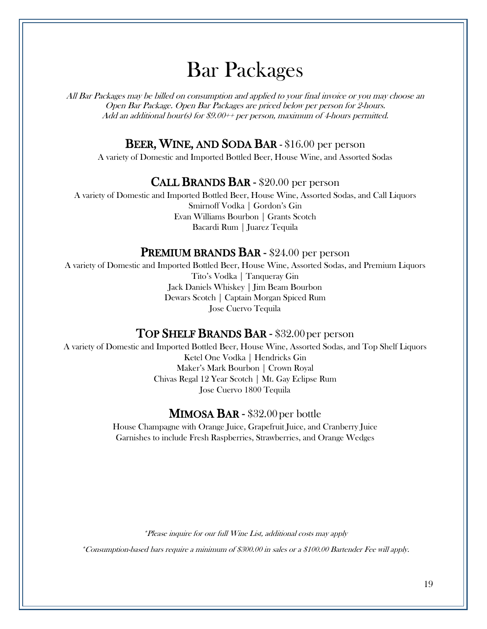### Bar Packages

All Bar Packages may be billed on consumption and applied to your final invoice or you may choose an Open Bar Package. Open Bar Packages are priced below per person for 2-hours. Add an additional hour(s) for \$9.00++ per person, maximum of 4-hours permitted.

#### BEER, WINE, AND SODA BAR - \$16.00 per person

A variety of Domestic and Imported Bottled Beer, House Wine, and Assorted Sodas

#### CALL BRANDS BAR - \$20.00 per person

A variety of Domestic and Imported Bottled Beer, House Wine, Assorted Sodas, and Call Liquors Smirnoff Vodka | Gordon's Gin Evan Williams Bourbon | Grants Scotch Bacardi Rum | Juarez Tequila

#### PREMIUM BRANDS BAR - \$24.00 per person

A variety of Domestic and Imported Bottled Beer, House Wine, Assorted Sodas, and Premium Liquors Tito's Vodka | Tanqueray Gin Jack Daniels Whiskey | Jim Beam Bourbon Dewars Scotch | Captain Morgan Spiced Rum Jose Cuervo Tequila

#### TOP SHELF BRANDS BAR - \$32.00 per person

A variety of Domestic and Imported Bottled Beer, House Wine, Assorted Sodas, and Top Shelf Liquors Ketel One Vodka | Hendricks Gin Maker's Mark Bourbon | Crown Royal Chivas Regal 12 Year Scotch | Mt. Gay Eclipse Rum Jose Cuervo 1800 Tequila

#### MIMOSA BAR - \$32.00 per bottle

House Champagne with Orange Juice, Grapefruit Juice, and Cranberry Juice Garnishes to include Fresh Raspberries, Strawberries, and Orange Wedges

\*Please inquire for our full Wine List, additional costs may apply

\*Consumption-based bars require a minimum of \$300.00 in sales or a \$100.00 Bartender Fee will apply.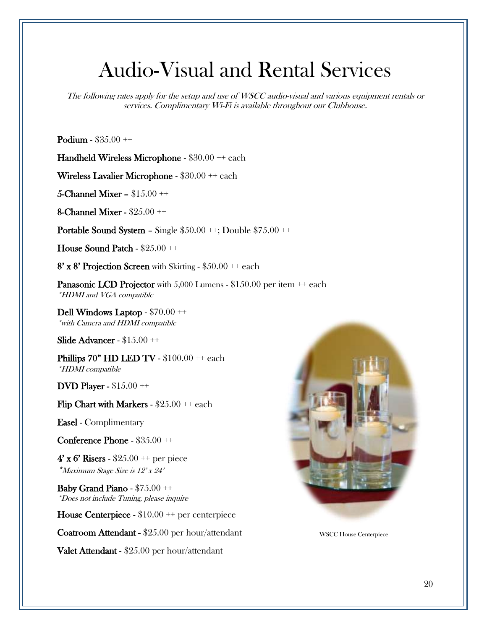### Audio-Visual and Rental Services

The following rates apply for the setup and use of WSCC audio-visual and various equipment rentals or services. Complimentary Wi-Fi is available throughout our Clubhouse.

Podium - \$35.00 ++

Handheld Wireless Microphone - \$30.00 ++ each

Wireless Lavalier Microphone - \$30.00 ++ each

5-Channel Mixer – \$15.00 ++

8-Channel Mixer - \$25.00 ++

Portable Sound System – Single \$50.00 ++; Double \$75.00 ++

House Sound Patch - \$25.00 ++

 $8'$  x  $8'$  Projection Screen with Skirting - \$50.00  $++$  each

Panasonic LCD Projector with 5,000 Lumens - \$150.00 per item  $++$  each \*HDMI and VGA compatible

Dell Windows Laptop - \$70.00 ++ \*with Camera and HDMI compatible

Slide Advancer - \$15.00 ++

Phillips  $70"$  HD LED TV -  $$100.00 ++$  each \*HDMI compatible

DVD Player - \$15.00 ++

Flip Chart with Markers -  $$25.00 + each$ 

Easel - Complimentary

Conference Phone -  $$35.00 ++$ 

4' x 6' Risers -  $$25.00 + per$  piece \*Maximum Stage Size is 12' x 24'

Baby Grand Piano - \$75.00 ++ \*Does not include Tuning, please inquire

House Centerpiece - \$10.00 ++ per centerpiece

Coatroom Attendant - \$25.00 per hour/attendant

Valet Attendant - \$25.00 per hour/attendant



WSCC House Centerpiece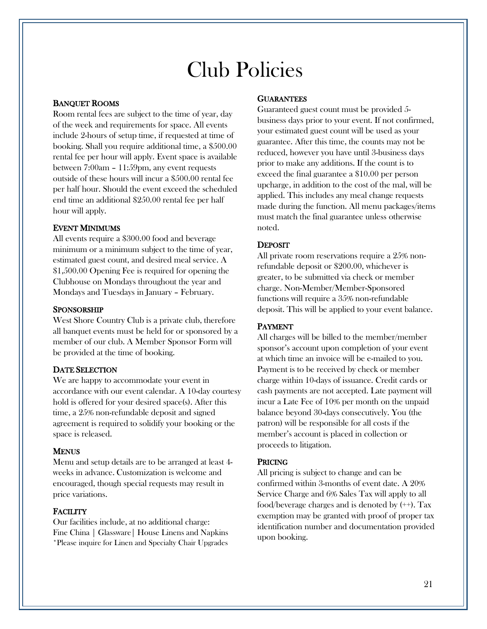### Club Policies

#### BANQUET ROOMS

Room rental fees are subject to the time of year, day of the week and requirements for space. All events include 2-hours of setup time, if requested at time of booking. Shall you require additional time, a \$500.00 rental fee per hour will apply. Event space is available between 7:00am – 11:59pm, any event requests outside of these hours will incur a \$500.00 rental fee per half hour. Should the event exceed the scheduled end time an additional \$250.00 rental fee per half hour will apply.

#### EVENT MINIMUMS

All events require a \$300.00 food and beverage minimum or a minimum subject to the time of year, estimated guest count, and desired meal service. A \$1,500.00 Opening Fee is required for opening the Clubhouse on Mondays throughout the year and Mondays and Tuesdays in January – February.

#### SPONSORSHIP

West Shore Country Club is a private club, therefore all banquet events must be held for or sponsored by a member of our club. A Member Sponsor Form will be provided at the time of booking.

#### DATE SELECTION

We are happy to accommodate your event in accordance with our event calendar. A 10-day courtesy hold is offered for your desired space(s). After this time, a 25% non-refundable deposit and signed agreement is required to solidify your booking or the space is released.

#### **MENUS**

Menu and setup details are to be arranged at least 4 weeks in advance. Customization is welcome and encouraged, though special requests may result in price variations.

#### **FACILITY**

Our facilities include, at no additional charge: Fine China | Glassware| House Linens and Napkins \*Please inquire for Linen and Specialty Chair Upgrades

#### **GUARANTEES**

Guaranteed guest count must be provided 5 business days prior to your event. If not confirmed, your estimated guest count will be used as your guarantee. After this time, the counts may not be reduced, however you have until 3-business days prior to make any additions. If the count is to exceed the final guarantee a \$10.00 per person upcharge, in addition to the cost of the mal, will be applied. This includes any meal change requests made during the function. All menu packages/items must match the final guarantee unless otherwise noted.

#### **DEPOSIT**

All private room reservations require a 25% nonrefundable deposit or \$200.00, whichever is greater, to be submitted via check or member charge. Non-Member/Member-Sponsored functions will require a 35% non-refundable deposit. This will be applied to your event balance.

#### PAYMENT

All charges will be billed to the member/member sponsor's account upon completion of your event at which time an invoice will be e-mailed to you. Payment is to be received by check or member charge within 10-days of issuance. Credit cards or cash payments are not accepted. Late payment will incur a Late Fee of 10% per month on the unpaid balance beyond 30-days consecutively. You (the patron) will be responsible for all costs if the member's account is placed in collection or proceeds to litigation.

#### PRICING

All pricing is subject to change and can be confirmed within 3-months of event date. A 20% Service Charge and 6% Sales Tax will apply to all food/beverage charges and is denoted by  $(+)$ . Tax exemption may be granted with proof of proper tax identification number and documentation provided upon booking.